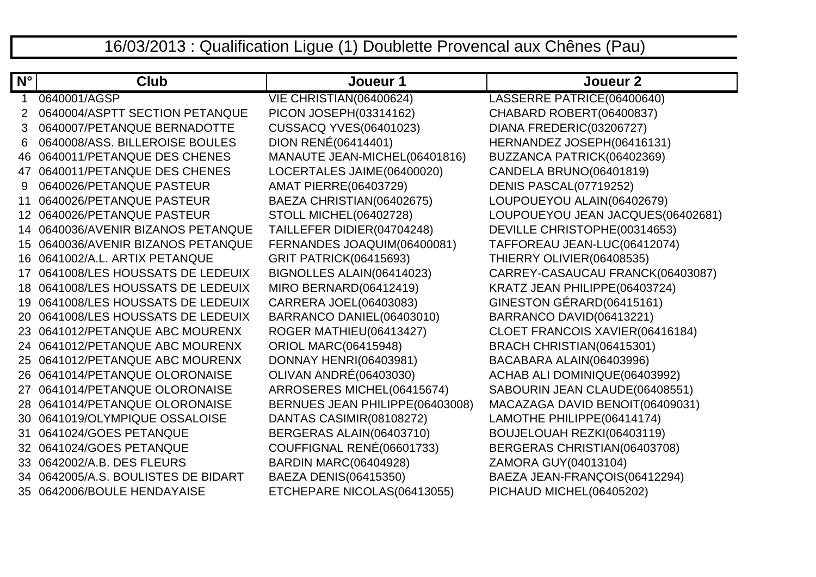## 16/03/2013 : Qualification Ligue (1) Doublette Provencal aux Chênes (Pau)

| $N^{\circ}$     | Club                                | Joueur 1                        | Joueur <sub>2</sub>               |
|-----------------|-------------------------------------|---------------------------------|-----------------------------------|
|                 | 0640001/AGSP                        | VIE CHRISTIAN(06400624)         | LASSERRE PATRICE(06400640)        |
| 2               | 0640004/ASPTT SECTION PETANQUE      | PICON JOSEPH(03314162)          | CHABARD ROBERT(06400837)          |
| 3               | 0640007/PETANQUE BERNADOTTE         | <b>CUSSACQ YVES(06401023)</b>   | DIANA FREDERIC(03206727)          |
| 6               | 0640008/ASS. BILLEROISE BOULES      | DION RENÉ(06414401)             | HERNANDEZ JOSEPH(06416131)        |
| 46              | 0640011/PETANQUE DES CHENES         | MANAUTE JEAN-MICHEL(06401816)   | BUZZANCA PATRICK(06402369)        |
| 47              | 0640011/PETANQUE DES CHENES         | LOCERTALES JAIME(06400020)      | CANDELA BRUNO(06401819)           |
| 9               | 0640026/PETANQUE PASTEUR            | <b>AMAT PIERRE(06403729)</b>    | DENIS PASCAL(07719252)            |
| 11              | 0640026/PETANQUE PASTEUR            | BAEZA CHRISTIAN(06402675)       | LOUPOUEYOU ALAIN(06402679)        |
| 12 <sup>°</sup> | 0640026/PETANQUE PASTEUR            | <b>STOLL MICHEL(06402728)</b>   | LOUPOUEYOU JEAN JACQUES(06402681) |
| 14              | 0640036/AVENIR BIZANOS PETANQUE     | TAILLEFER DIDIER(04704248)      | DEVILLE CHRISTOPHE(00314653)      |
| 15              | 0640036/AVENIR BIZANOS PETANQUE     | FERNANDES JOAQUIM(06400081)     | TAFFOREAU JEAN-LUC(06412074)      |
|                 | 16 0641002/A.L. ARTIX PETANQUE      | <b>GRIT PATRICK(06415693)</b>   | THIERRY OLIVIER(06408535)         |
| 17              | 0641008/LES HOUSSATS DE LEDEUIX     | BIGNOLLES ALAIN(06414023)       | CARREY-CASAUCAU FRANCK(06403087)  |
| 18              | 0641008/LES HOUSSATS DE LEDEUIX     | <b>MIRO BERNARD(06412419)</b>   | KRATZ JEAN PHILIPPE(06403724)     |
| 19              | 0641008/LES HOUSSATS DE LEDEUIX     | CARRERA JOEL(06403083)          | GINESTON GÉRARD(06415161)         |
| 20              | 0641008/LES HOUSSATS DE LEDEUIX     | BARRANCO DANIEL(06403010)       | BARRANCO DAVID(06413221)          |
|                 | 23 0641012/PETANQUE ABC MOURENX     | ROGER MATHIEU(06413427)         | CLOET FRANCOIS XAVIER(06416184)   |
|                 | 24 0641012/PETANQUE ABC MOURENX     | <b>ORIOL MARC(06415948)</b>     | BRACH CHRISTIAN(06415301)         |
| 25.             | 0641012/PETANQUE ABC MOURENX        | <b>DONNAY HENRI(06403981)</b>   | BACABARA ALAIN(06403996)          |
|                 | 26 0641014/PETANQUE OLORONAISE      | <b>OLIVAN ANDRÉ(06403030)</b>   | ACHAB ALI DOMINIQUE(06403992)     |
| 27              | 0641014/PETANQUE OLORONAISE         | ARROSERES MICHEL(06415674)      | SABOURIN JEAN CLAUDE(06408551)    |
|                 | 28 0641014/PETANQUE OLORONAISE      | BERNUES JEAN PHILIPPE(06403008) | MACAZAGA DAVID BENOIT(06409031)   |
| 30              | 0641019/OLYMPIQUE OSSALOISE         | DANTAS CASIMIR(08108272)        | LAMOTHE PHILIPPE(06414174)        |
| 31              | 0641024/GOES PETANQUE               | BERGERAS ALAIN(06403710)        | BOUJELOUAH REZKI(06403119)        |
| 32              | 0641024/GOES PETANQUE               | COUFFIGNAL RENÉ(06601733)       | BERGERAS CHRISTIAN(06403708)      |
|                 | 33 0642002/A.B. DES FLEURS          | <b>BARDIN MARC(06404928)</b>    | ZAMORA GUY(04013104)              |
|                 | 34 0642005/A.S. BOULISTES DE BIDART | BAEZA DENIS(06415350)           | BAEZA JEAN-FRANÇOIS(06412294)     |
|                 | 35 0642006/BOULE HENDAYAISE         | ETCHEPARE NICOLAS(06413055)     | PICHAUD MICHEL(06405202)          |